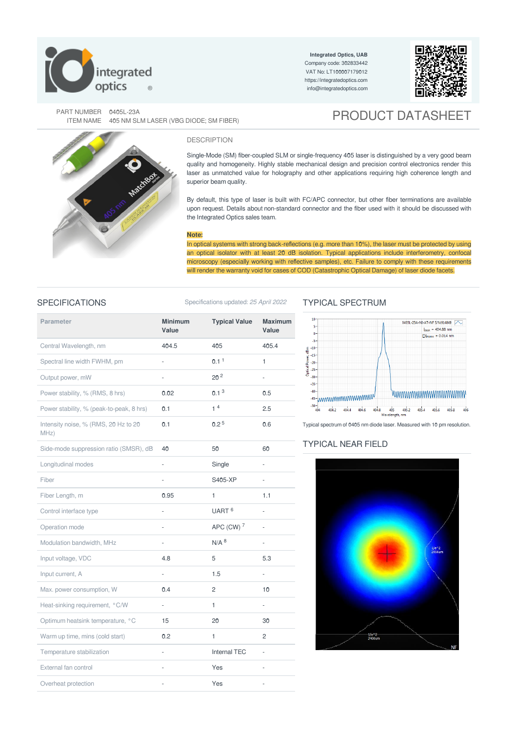

**Integrated Optics, UAB** Company code: 302833442 VAT No: LT100007179012 <https://integratedoptics.com> info@integratedoptics.com



PART NUMBER 0405L-23A RT NUMBER | 0405L-23A<br>| ITEM NAME | 405 NM SLM LASER (VBG DIODE; SM FIBER) | PRODUCT DATASHEET

Single-Mode (SM) fiber-coupled SLM or single-frequency 405 laser is distinguished by a very good beam quality and homogeneity. Highly stable mechanical design and precision control electronics render this laser as unmatched value for holography and other applications requiring high coherence length and superior beam quality.

By default, this type of laser is built with FC/APC connector, but other fiber terminations are available upon request. Details about non-standard connector and the fiber used with it should be discussed with the Integrated Optics sales team.

### **Note:**

DESCRIPTION

In optical systems with strong back-reflections (e.g. more than 10%), the laser must be protected by using an optical isolator with at least 20 dB isolation. Typical applications include interferometry, confocal microscopy (especially working with reflective samples), etc. Failure to comply with these requirements will render the warranty void for cases of COD (Catastrophic Optical Damage) of laser diode facets.

## SPECIFICATIONS Specifications updated: 25 April 2022

| <b>Parameter</b>                             | <b>Minimum</b><br>Value | <b>Typical Value</b> | <b>Maximum</b><br>Value |
|----------------------------------------------|-------------------------|----------------------|-------------------------|
| Central Wavelength, nm                       | 404.5                   | 405                  | 405.4                   |
| Spectral line width FWHM, pm                 | ÷,                      | 0.1 <sup>1</sup>     | 1                       |
| Output power, mW                             | $\frac{1}{2}$           | 20 <sup>2</sup>      | ÷,                      |
| Power stability, % (RMS, 8 hrs)              | 0.02                    | 0.1 <sup>3</sup>     | 0.5                     |
| Power stability, % (peak-to-peak, 8 hrs)     | 0.1                     | 1 <sup>4</sup>       | 2.5                     |
| Intensity noise, % (RMS, 20 Hz to 20<br>MHz) | 0.1                     | 0.2 <sup>5</sup>     | 0.6                     |
| Side-mode suppression ratio (SMSR), dB       | 40                      | 50                   | 60                      |
| Longitudinal modes                           | ÷,                      | Single               |                         |
| Fiber                                        |                         | S405-XP              | ä,                      |
| Fiber Length, m                              | 0.95                    | $\mathbf{1}$         | 1.1                     |
| Control interface type                       | ÷,                      | UART <sup>6</sup>    |                         |
| Operation mode                               | $\frac{1}{2}$           | APC (CW) 7           | ÷,                      |
| Modulation bandwidth, MHz                    | ÷,                      | $N/A$ $8$            | ÷,                      |
| Input voltage, VDC                           | 4.8                     | 5                    | 5.3                     |
| Input current, A                             | L                       | 1.5                  |                         |
| Max. power consumption, W                    | 0.4                     | 2                    | 10                      |
| Heat-sinking requirement, °C/W               | ä,                      | $\mathbf{1}$         | ÷,                      |
| Optimum heatsink temperature, °C             | 15                      | 20                   | 30                      |
| Warm up time, mins (cold start)              | 0.2                     | $\mathbf{1}$         | $\overline{2}$          |
| Temperature stabilization                    |                         | <b>Internal TEC</b>  |                         |
| External fan control                         |                         | Yes                  |                         |
| Overheat protection                          | $\bar{a}$               | Yes                  | ÷,                      |

# TYPICAL SPECTRUM



Typical spectrum of 0405 nm diode laser. Measured with 10 pm resolution.

# TYPICAL NEAR FIELD